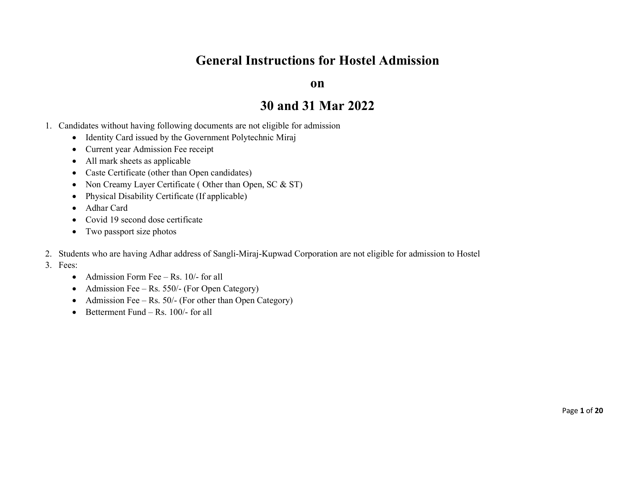## General Instructions for Hostel Admission

on

## 30 and 31 Mar 2022

- 1. Candidates without having following documents are not eligible for admission
	- Identity Card issued by the Government Polytechnic Miraj
	- Current year Admission Fee receipt
	- All mark sheets as applicable
	- Caste Certificate (other than Open candidates)
	- Non Creamy Layer Certificate (Other than Open, SC & ST)
	- Physical Disability Certificate (If applicable)
	- Adhar Card
	- Covid 19 second dose certificate
	- Two passport size photos
- 2. Students who are having Adhar address of Sangli-Miraj-Kupwad Corporation are not eligible for admission to Hostel
- 3. Fees:
	- Admission Form Fee Rs.  $10/-$  for all
	- Admission Fee Rs. 550/- (For Open Category)
	- Admission Fee Rs.  $50/$  (For other than Open Category)
	- $\bullet$  Betterment Fund Rs. 100/- for all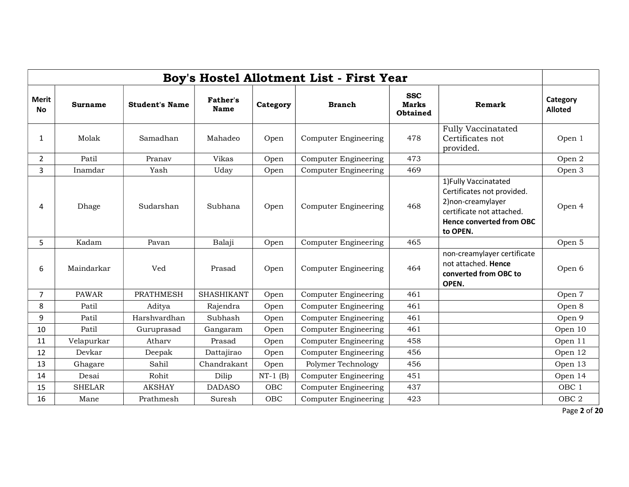| Boy's Hostel Allotment List - First Year |               |                       |                                |            |                             |                                               |                                                                                                                                                       |                            |  |  |  |  |
|------------------------------------------|---------------|-----------------------|--------------------------------|------------|-----------------------------|-----------------------------------------------|-------------------------------------------------------------------------------------------------------------------------------------------------------|----------------------------|--|--|--|--|
| <b>Merit</b><br><b>No</b>                | Surname       | <b>Student's Name</b> | <b>Father's</b><br><b>Name</b> | Category   | <b>Branch</b>               | <b>SSC</b><br><b>Marks</b><br><b>Obtained</b> | Remark                                                                                                                                                | Category<br><b>Alloted</b> |  |  |  |  |
| $\mathbf{1}$                             | Molak         | Samadhan              | Mahadeo                        | Open       | <b>Computer Engineering</b> | 478                                           | <b>Fully Vaccinatated</b><br>Certificates not<br>provided.                                                                                            | Open 1                     |  |  |  |  |
| $\overline{2}$                           | Patil         | Pranav                | Vikas                          | Open       | <b>Computer Engineering</b> | 473                                           |                                                                                                                                                       | Open 2                     |  |  |  |  |
| $\overline{3}$                           | Inamdar       | Yash                  | Uday                           | Open       | <b>Computer Engineering</b> | 469                                           |                                                                                                                                                       | Open 3                     |  |  |  |  |
| 4                                        | Dhage         | Sudarshan             | Subhana                        | Open       | <b>Computer Engineering</b> | 468                                           | 1) Fully Vaccinatated<br>Certificates not provided.<br>2) non-creamylayer<br>certificate not attached.<br><b>Hence converted from OBC</b><br>to OPEN. | Open 4                     |  |  |  |  |
| 5                                        | Kadam         | Pavan                 | Balaji                         | Open       | <b>Computer Engineering</b> | 465                                           |                                                                                                                                                       | Open 5                     |  |  |  |  |
| 6                                        | Maindarkar    | Ved                   | Prasad                         | Open       | <b>Computer Engineering</b> | 464                                           | non-creamylayer certificate<br>not attached. Hence<br>converted from OBC to<br>OPEN.                                                                  | Open 6                     |  |  |  |  |
| 7                                        | <b>PAWAR</b>  | <b>PRATHMESH</b>      | <b>SHASHIKANT</b>              | Open       | <b>Computer Engineering</b> | 461                                           |                                                                                                                                                       | Open 7                     |  |  |  |  |
| 8                                        | Patil         | Aditya                | Rajendra                       | Open       | <b>Computer Engineering</b> | 461                                           |                                                                                                                                                       | Open 8                     |  |  |  |  |
| 9                                        | Patil         | Harshvardhan          | Subhash                        | Open       | <b>Computer Engineering</b> | 461                                           |                                                                                                                                                       | Open 9                     |  |  |  |  |
| 10                                       | Patil         | Guruprasad            | Gangaram                       | Open       | <b>Computer Engineering</b> | 461                                           |                                                                                                                                                       | Open 10                    |  |  |  |  |
| 11                                       | Velapurkar    | Atharv                | Prasad                         | Open       | <b>Computer Engineering</b> | 458                                           |                                                                                                                                                       | Open 11                    |  |  |  |  |
| 12                                       | Devkar        | Deepak                | Dattajirao                     | Open       | <b>Computer Engineering</b> | 456                                           |                                                                                                                                                       | Open 12                    |  |  |  |  |
| 13                                       | Ghagare       | Sahil                 | Chandrakant                    | Open       | Polymer Technology          | 456                                           |                                                                                                                                                       | Open 13                    |  |  |  |  |
| 14                                       | Desai         | Rohit                 | Dilip                          | $NT-1$ (B) | Computer Engineering        | 451                                           |                                                                                                                                                       | Open 14                    |  |  |  |  |
| 15                                       | <b>SHELAR</b> | <b>AKSHAY</b>         | <b>DADASO</b>                  | <b>OBC</b> | <b>Computer Engineering</b> | 437                                           |                                                                                                                                                       | OBC <sub>1</sub>           |  |  |  |  |
| 16                                       | Mane          | Prathmesh             | Suresh                         | OBC        | <b>Computer Engineering</b> | 423                                           |                                                                                                                                                       | OBC <sub>2</sub>           |  |  |  |  |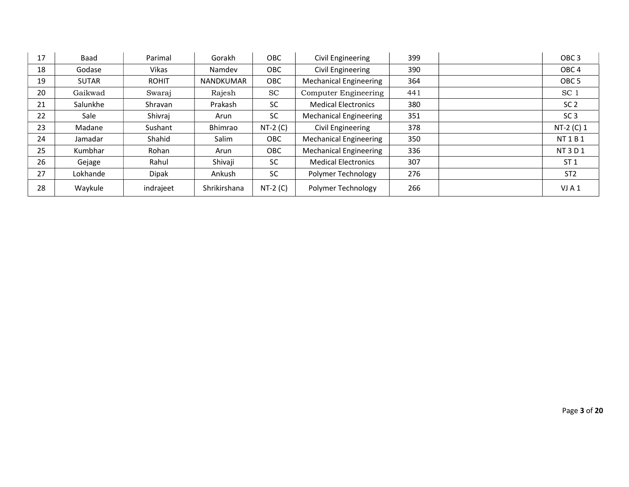| 17 | Baad         | Parimal      | Gorakh           | <b>OBC</b> | Civil Engineering             | 399 | OBC <sub>3</sub> |
|----|--------------|--------------|------------------|------------|-------------------------------|-----|------------------|
| 18 | Godase       | Vikas        | Namdev           | <b>OBC</b> | Civil Engineering             | 390 | OBC <sub>4</sub> |
| 19 | <b>SUTAR</b> | <b>ROHIT</b> | <b>NANDKUMAR</b> | OBC        | <b>Mechanical Engineering</b> | 364 | OBC <sub>5</sub> |
| 20 | Gaikwad      | Swaraj       | Rajesh           | <b>SC</b>  | Computer Engineering          | 441 | SC <sub>1</sub>  |
| 21 | Salunkhe     | Shravan      | Prakash          | <b>SC</b>  | <b>Medical Electronics</b>    | 380 | SC <sub>2</sub>  |
| 22 | Sale         | Shivraj      | Arun             | <b>SC</b>  | <b>Mechanical Engineering</b> | 351 | SC <sub>3</sub>  |
| 23 | Madane       | Sushant      | Bhimrao          | $NT-2(C)$  | Civil Engineering             | 378 | NT-2 (C) 1       |
| 24 | Jamadar      | Shahid       | Salim            | OBC        | <b>Mechanical Engineering</b> | 350 | NT 1 B 1         |
| 25 | Kumbhar      | Rohan        | Arun             | <b>OBC</b> | <b>Mechanical Engineering</b> | 336 | NT3D1            |
| 26 | Gejage       | Rahul        | Shivaji          | <b>SC</b>  | <b>Medical Electronics</b>    | 307 | ST <sub>1</sub>  |
| 27 | Lokhande     | <b>Dipak</b> | Ankush           | <b>SC</b>  | Polymer Technology            | 276 | ST <sub>2</sub>  |
| 28 | Waykule      | indrajeet    | Shrikirshana     | $NT-2(C)$  | Polymer Technology            | 266 | VJA1             |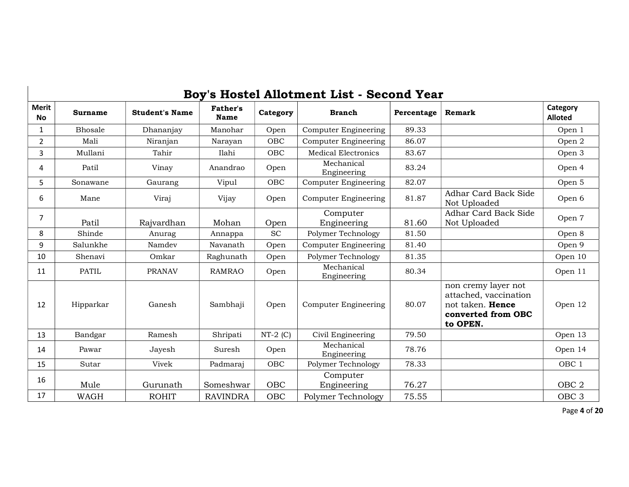|                           |                |                       |                  |            | Boy's Hostel Allotment List - Second Year |            |                                                                                                    |                            |
|---------------------------|----------------|-----------------------|------------------|------------|-------------------------------------------|------------|----------------------------------------------------------------------------------------------------|----------------------------|
| <b>Merit</b><br><b>No</b> | <b>Surname</b> | <b>Student's Name</b> | Father's<br>Name | Category   | <b>Branch</b>                             | Percentage | Remark                                                                                             | Category<br><b>Alloted</b> |
| $\mathbf{1}$              | Bhosale        | Dhananjay             | Manohar          | Open       | <b>Computer Engineering</b>               | 89.33      |                                                                                                    | Open 1                     |
| $\overline{2}$            | Mali           | Niranjan              | Narayan          | OBC        | <b>Computer Engineering</b>               | 86.07      |                                                                                                    | Open 2                     |
| 3                         | Mullani        | Tahir                 | Ilahi            | OBC        | <b>Medical Electronics</b>                | 83.67      |                                                                                                    | Open 3                     |
| 4                         | Patil          | Vinay                 | Anandrao         | Open       | Mechanical<br>Engineering                 | 83.24      |                                                                                                    | Open 4                     |
| 5                         | Sonawane       | Gaurang               | Vipul            | OBC        | <b>Computer Engineering</b>               | 82.07      |                                                                                                    | Open 5                     |
| 6                         | Mane           | Viraj                 | Vijay            | Open       | <b>Computer Engineering</b>               | 81.87      | Adhar Card Back Side<br>Not Uploaded                                                               | Open 6                     |
| $\overline{7}$            | Patil          | Rajvardhan            | Mohan            | Open       | Computer<br>Engineering                   | 81.60      | Adhar Card Back Side<br>Not Uploaded                                                               | Open 7                     |
| 8                         | Shinde         | Anurag                | Annappa          | <b>SC</b>  | Polymer Technology                        | 81.50      |                                                                                                    | Open 8                     |
| 9                         | Salunkhe       | Namdev                | Navanath         | Open       | <b>Computer Engineering</b>               | 81.40      |                                                                                                    | Open 9                     |
| 10                        | Shenavi        | Omkar                 | Raghunath        | Open       | Polymer Technology                        | 81.35      |                                                                                                    | Open 10                    |
| 11                        | <b>PATIL</b>   | <b>PRANAV</b>         | <b>RAMRAO</b>    | Open       | Mechanical<br>Engineering                 | 80.34      |                                                                                                    | Open 11                    |
| 12                        | Hipparkar      | Ganesh                | Sambhaji         | Open       | <b>Computer Engineering</b>               | 80.07      | non cremy layer not<br>attached, vaccination<br>not taken. Hence<br>converted from OBC<br>to OPEN. | Open 12                    |
| 13                        | Bandgar        | Ramesh                | Shripati         | $NT-2$ (C) | Civil Engineering                         | 79.50      |                                                                                                    | Open 13                    |
| 14                        | Pawar          | Jayesh                | Suresh           | Open       | Mechanical<br>Engineering                 | 78.76      |                                                                                                    | Open 14                    |
| 15                        | Sutar          | Vivek                 | Padmaraj         | OBC        | Polymer Technology                        | 78.33      |                                                                                                    | OBC <sub>1</sub>           |
| 16                        | Mule           | Gurunath              | Someshwar        | <b>OBC</b> | Computer<br>Engineering                   | 76.27      |                                                                                                    | OBC <sub>2</sub>           |
| 17                        | <b>WAGH</b>    | <b>ROHIT</b>          | <b>RAVINDRA</b>  | <b>OBC</b> | Polymer Technology                        | 75.55      |                                                                                                    | OBC <sub>3</sub>           |

Page 4 of 20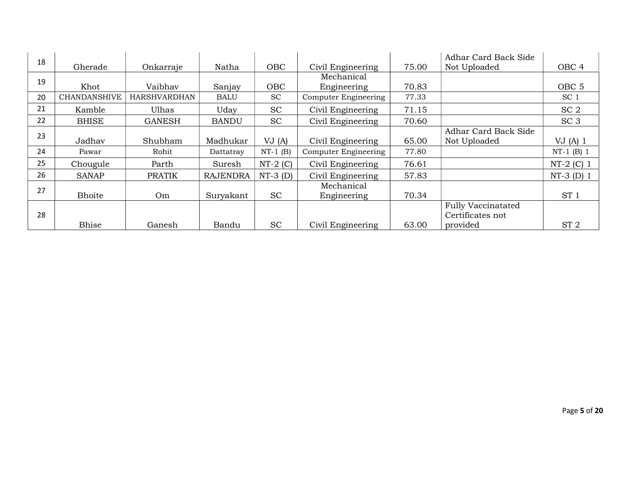| 18 |                     |                     |                 |            |                             |       | Adhar Card Back Side      |                  |
|----|---------------------|---------------------|-----------------|------------|-----------------------------|-------|---------------------------|------------------|
|    | Gherade             | Onkarraje           | Natha           | <b>OBC</b> | Civil Engineering           | 75.00 | Not Uploaded              | OBC <sub>4</sub> |
| 19 |                     |                     |                 |            | Mechanical                  |       |                           |                  |
|    | Khot                | Vaibhav             | Sanjay          | <b>OBC</b> | Engineering                 | 70.83 |                           | OBC <sub>5</sub> |
| 20 | <b>CHANDANSHIVE</b> | <b>HARSHVARDHAN</b> | <b>BALU</b>     | <b>SC</b>  | <b>Computer Engineering</b> | 77.33 |                           | SC <sub>1</sub>  |
| 21 | Kamble              | Ulhas               | Uday            | <b>SC</b>  | Civil Engineering           | 71.15 |                           | SC <sub>2</sub>  |
| 22 | <b>BHISE</b>        | <b>GANESH</b>       | <b>BANDU</b>    | <b>SC</b>  | Civil Engineering           | 70.60 |                           | SC <sub>3</sub>  |
| 23 |                     |                     |                 |            |                             |       | Adhar Card Back Side      |                  |
|    | Jadhav              | Shubham             | Madhukar        | VJ(A)      | Civil Engineering           | 65.00 | Not Uploaded              | VJ(A) 1          |
| 24 | Pawar               | Rohit               | Dattatray       | $NT-1$ (B) | Computer Engineering        | 77.80 |                           | $NT-1$ (B) 1     |
| 25 | Chougule            | Parth               | Suresh          | $NT-2(C)$  | Civil Engineering           | 76.61 |                           | $NT-2$ (C) 1     |
| 26 | <b>SANAP</b>        | <b>PRATIK</b>       | <b>RAJENDRA</b> | $NT-3$ (D) | Civil Engineering           | 57.83 |                           | $NT-3$ (D) 1     |
| 27 |                     |                     |                 |            | Mechanical                  |       |                           |                  |
|    | Bhoite              | Om                  | Suryakant       | <b>SC</b>  | Engineering                 | 70.34 |                           | ST <sub>1</sub>  |
|    |                     |                     |                 |            |                             |       | <b>Fully Vaccinatated</b> |                  |
| 28 |                     |                     |                 |            |                             |       | Certificates not          |                  |
|    | <b>Bhise</b>        | Ganesh              | Bandu           | <b>SC</b>  | Civil Engineering           | 63.00 | provided                  | ST <sub>2</sub>  |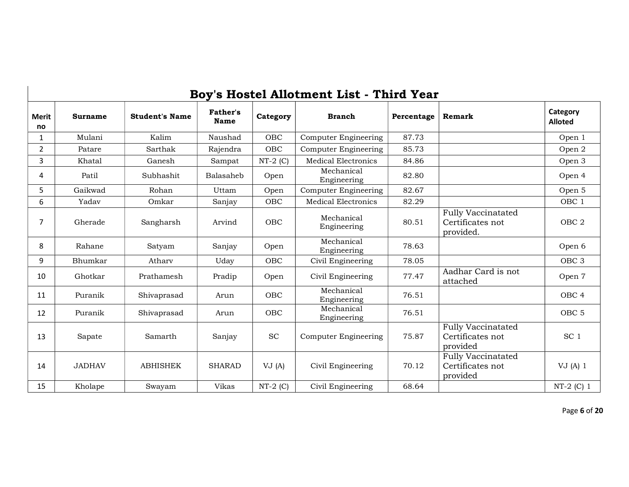|                    |                |                       |                         |            | Boy's Hostel Allotment List - Third Year |            |                                                            |                            |
|--------------------|----------------|-----------------------|-------------------------|------------|------------------------------------------|------------|------------------------------------------------------------|----------------------------|
| <b>Merit</b><br>no | <b>Surname</b> | <b>Student's Name</b> | <b>Father's</b><br>Name | Category   | <b>Branch</b>                            | Percentage | Remark                                                     | Category<br><b>Alloted</b> |
| $\mathbf{1}$       | Mulani         | Kalim                 | Naushad                 | OBC        | Computer Engineering                     | 87.73      |                                                            | Open 1                     |
| $\overline{2}$     | Patare         | Sarthak               | Rajendra                | OBC        | <b>Computer Engineering</b>              | 85.73      |                                                            | Open 2                     |
| 3                  | Khatal         | Ganesh                | Sampat                  | $NT-2$ (C) | <b>Medical Electronics</b>               | 84.86      |                                                            | Open 3                     |
| 4                  | Patil          | Subhashit             | Balasaheb               | Open       | Mechanical<br>Engineering                | 82.80      |                                                            | Open 4                     |
| 5                  | Gaikwad        | Rohan                 | Uttam                   | Open       | <b>Computer Engineering</b>              | 82.67      |                                                            | Open 5                     |
| 6                  | Yadav          | Omkar                 | Sanjay                  | <b>OBC</b> | <b>Medical Electronics</b>               | 82.29      |                                                            | OBC <sub>1</sub>           |
| $\overline{7}$     | Gherade        | Sangharsh             | Arvind                  | OBC        | Mechanical<br>Engineering                | 80.51      | <b>Fully Vaccinatated</b><br>Certificates not<br>provided. | OBC <sub>2</sub>           |
| 8                  | Rahane         | Satyam                | Sanjay                  | Open       | Mechanical<br>Engineering                | 78.63      |                                                            | Open 6                     |
| 9                  | Bhumkar        | Athary                | Uday                    | OBC        | Civil Engineering                        | 78.05      |                                                            | OBC <sub>3</sub>           |
| 10                 | Ghotkar        | Prathamesh            | Pradip                  | Open       | Civil Engineering                        | 77.47      | Aadhar Card is not<br>attached                             | Open 7                     |
| 11                 | Puranik        | Shivaprasad           | Arun                    | OBC        | Mechanical<br>Engineering                | 76.51      |                                                            | OBC <sub>4</sub>           |
| 12                 | Puranik        | Shivaprasad           | Arun                    | OBC        | Mechanical<br>Engineering                | 76.51      |                                                            | OBC <sub>5</sub>           |
| 13                 | Sapate         | Samarth               | Sanjay                  | <b>SC</b>  | <b>Computer Engineering</b>              | 75.87      | <b>Fully Vaccinatated</b><br>Certificates not<br>provided  | SC <sub>1</sub>            |
| 14                 | <b>JADHAV</b>  | <b>ABHISHEK</b>       | <b>SHARAD</b>           | VJ(A)      | Civil Engineering                        | 70.12      | <b>Fully Vaccinatated</b><br>Certificates not<br>provided  | VJ(A) 1                    |
| 15                 | Kholape        | Swayam                | Vikas                   | $NT-2$ (C) | Civil Engineering                        | 68.64      |                                                            | $NT-2$ (C) 1               |

Page 6 of 20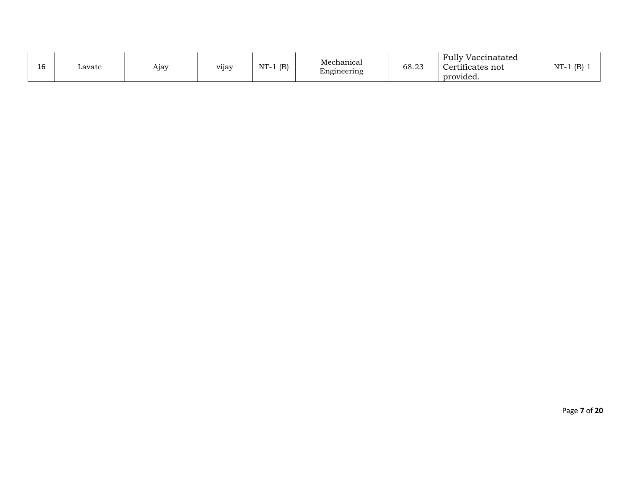| 1 <sup>C</sup><br>ᅩ୰ | Lavate | $\sim$ $\sim$<br>Aıav | vijay | (B)<br>NT. | Mechanical<br>Engineering | 68.23 | <b>Fully Vaccinatated</b><br>$\cdot$ . $\sim$<br>Certificates not<br>. .<br>provided. | $NT-1$<br>(B) |
|----------------------|--------|-----------------------|-------|------------|---------------------------|-------|---------------------------------------------------------------------------------------|---------------|
|----------------------|--------|-----------------------|-------|------------|---------------------------|-------|---------------------------------------------------------------------------------------|---------------|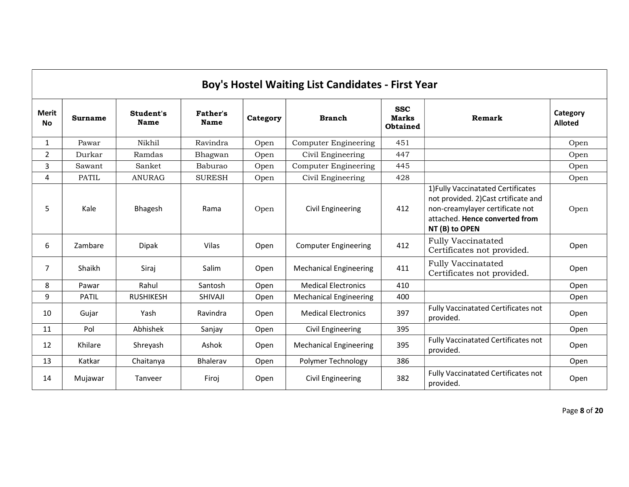|                           |                |                   |                         |          | Boy's Hostel Waiting List Candidates - First Year |                                               |                                                                                                                                                                  |                            |
|---------------------------|----------------|-------------------|-------------------------|----------|---------------------------------------------------|-----------------------------------------------|------------------------------------------------------------------------------------------------------------------------------------------------------------------|----------------------------|
| <b>Merit</b><br><b>No</b> | <b>Surname</b> | Student's<br>Name | <b>Father's</b><br>Name | Category | <b>Branch</b>                                     | <b>SSC</b><br><b>Marks</b><br><b>Obtained</b> | Remark                                                                                                                                                           | Category<br><b>Alloted</b> |
| $\mathbf{1}$              | Pawar          | Nikhil            | Ravindra                | Open     | <b>Computer Engineering</b>                       | 451                                           |                                                                                                                                                                  | Open                       |
| $\overline{2}$            | Durkar         | Ramdas            | Bhagwan                 | Open     | Civil Engineering                                 | 447                                           |                                                                                                                                                                  | Open                       |
| 3                         | Sawant         | Sanket            | Baburao                 | Open     | <b>Computer Engineering</b>                       | 445                                           |                                                                                                                                                                  | Open                       |
| 4                         | <b>PATIL</b>   | <b>ANURAG</b>     | <b>SURESH</b>           | Open     | Civil Engineering                                 | 428                                           |                                                                                                                                                                  | Open                       |
| 5                         | Kale           | Bhagesh           | Rama                    | Open     | <b>Civil Engineering</b>                          | 412                                           | 1) Fully Vaccinatated Certificates<br>not provided. 2)Cast crtificate and<br>non-creamylayer certificate not<br>attached. Hence converted from<br>NT (B) to OPEN | Open                       |
| 6                         | Zambare        | <b>Dipak</b>      | Vilas                   | Open     | <b>Computer Engineering</b>                       | 412                                           | <b>Fully Vaccinatated</b><br>Certificates not provided.                                                                                                          | Open                       |
| 7                         | Shaikh         | Siraj             | Salim                   | Open     | <b>Mechanical Engineering</b>                     | 411                                           | <b>Fully Vaccinatated</b><br>Certificates not provided.                                                                                                          | Open                       |
| 8                         | Pawar          | Rahul             | Santosh                 | Open     | <b>Medical Electronics</b>                        | 410                                           |                                                                                                                                                                  | Open                       |
| 9                         | <b>PATIL</b>   | <b>RUSHIKESH</b>  | <b>SHIVAJI</b>          | Open     | <b>Mechanical Engineering</b>                     | 400                                           |                                                                                                                                                                  | Open                       |
| 10                        | Gujar          | Yash              | Ravindra                | Open     | <b>Medical Electronics</b>                        | 397                                           | Fully Vaccinatated Certificates not<br>provided.                                                                                                                 | Open                       |
| 11                        | Pol            | Abhishek          | Sanjay                  | Open     | Civil Engineering                                 | 395                                           |                                                                                                                                                                  | Open                       |
| 12                        | Khilare        | Shreyash          | Ashok                   | Open     | <b>Mechanical Engineering</b>                     | 395                                           | Fully Vaccinatated Certificates not<br>provided.                                                                                                                 | Open                       |
| 13                        | Katkar         | Chaitanya         | <b>Bhalerav</b>         | Open     | Polymer Technology                                | 386                                           |                                                                                                                                                                  | Open                       |
| 14                        | Mujawar        | Tanveer           | Firoj                   | Open     | <b>Civil Engineering</b>                          | 382                                           | <b>Fully Vaccinatated Certificates not</b><br>provided.                                                                                                          | Open                       |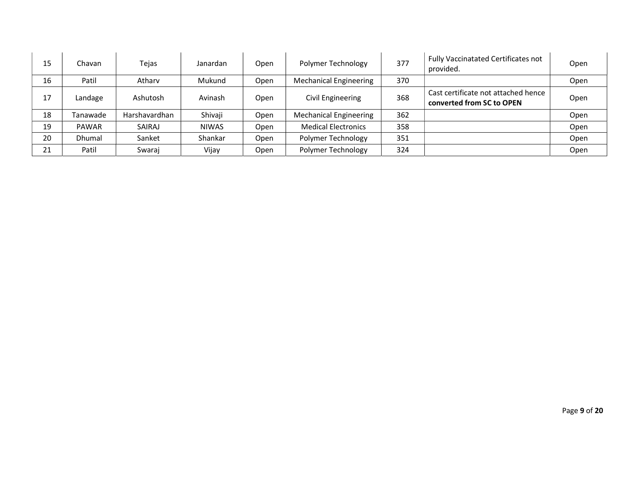| 15 | Chavan       | Tejas         | Janardan     | Open | Polymer Technology            | 377 | Fully Vaccinatated Certificates not<br>provided.                 | Open |
|----|--------------|---------------|--------------|------|-------------------------------|-----|------------------------------------------------------------------|------|
| 16 | Patil        | Athary        | Mukund       | Open | <b>Mechanical Engineering</b> | 370 |                                                                  | Open |
| 17 | Landage      | Ashutosh      | Avinash      | Open | Civil Engineering             | 368 | Cast certificate not attached hence<br>converted from SC to OPEN | Open |
| 18 | Tanawade     | Harshavardhan | Shivaji      | Open | <b>Mechanical Engineering</b> | 362 |                                                                  | Open |
| 19 | <b>PAWAR</b> | SAIRAJ        | <b>NIWAS</b> | Open | <b>Medical Electronics</b>    | 358 |                                                                  | Open |
| 20 | Dhumal       | Sanket        | Shankar      | Open | Polymer Technology            | 351 |                                                                  | Open |
| 21 | Patil        | Swaraj        | Vijay        | Open | Polymer Technology            | 324 |                                                                  | Open |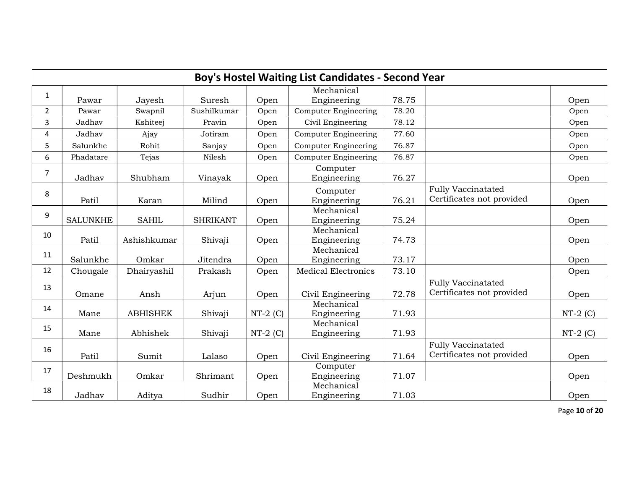|                |                 |                 |                 |            | Boy's Hostel Waiting List Candidates - Second Year |       |                                                        |            |
|----------------|-----------------|-----------------|-----------------|------------|----------------------------------------------------|-------|--------------------------------------------------------|------------|
| $\mathbf{1}$   | Pawar           | Jayesh          | Suresh          | Open       | Mechanical<br>Engineering                          | 78.75 |                                                        | Open       |
| $\overline{2}$ | Pawar           | Swapnil         | Sushilkumar     | Open       | <b>Computer Engineering</b>                        | 78.20 |                                                        | Open       |
| 3              | Jadhav          | Kshiteej        | Pravin          | Open       | Civil Engineering                                  | 78.12 |                                                        | Open       |
| 4              | Jadhav          | Ajay            | Jotiram         | Open       | <b>Computer Engineering</b>                        | 77.60 |                                                        | Open       |
| 5              | Salunkhe        | Rohit           | Sanjay          | Open       | <b>Computer Engineering</b>                        | 76.87 |                                                        | Open       |
| 6              | Phadatare       | Tejas           | Nilesh          | Open       | <b>Computer Engineering</b>                        | 76.87 |                                                        | Open       |
| $\overline{7}$ | Jadhav          | Shubham         | Vinayak         | Open       | Computer<br>Engineering                            | 76.27 |                                                        | Open       |
| 8              | Patil           | Karan           | Milind          | Open       | Computer<br>Engineering                            | 76.21 | <b>Fully Vaccinatated</b><br>Certificates not provided | Open       |
| 9              | <b>SALUNKHE</b> | <b>SAHIL</b>    | <b>SHRIKANT</b> | Open       | Mechanical<br>Engineering                          | 75.24 |                                                        | Open       |
| 10             | Patil           | Ashishkumar     | Shivaji         | Open       | Mechanical<br>Engineering                          | 74.73 |                                                        | Open       |
| 11             | Salunkhe        | Omkar           | Jitendra        | Open       | Mechanical<br>Engineering                          | 73.17 |                                                        | Open       |
| 12             | Chougale        | Dhairyashil     | Prakash         | Open       | <b>Medical Electronics</b>                         | 73.10 |                                                        | Open       |
| 13             | Omane           | Ansh            | Arjun           | Open       | Civil Engineering                                  | 72.78 | <b>Fully Vaccinatated</b><br>Certificates not provided | Open       |
| 14             | Mane            | <b>ABHISHEK</b> | Shivaji         | $NT-2$ (C) | Mechanical<br>Engineering                          | 71.93 |                                                        | $NT-2$ (C) |
| 15             | Mane            | Abhishek        | Shivaji         | $NT-2$ (C) | Mechanical<br>Engineering                          | 71.93 |                                                        | $NT-2(C)$  |
| 16             | Patil           | Sumit           | Lalaso          | Open       | Civil Engineering                                  | 71.64 | <b>Fully Vaccinatated</b><br>Certificates not provided | Open       |
| 17             | Deshmukh        | Omkar           | Shrimant        | Open       | Computer<br>Engineering                            | 71.07 |                                                        | Open       |
| 18             | Jadhav          | Aditya          | Sudhir          | Open       | Mechanical<br>Engineering                          | 71.03 |                                                        | Open       |

Page 10 of 20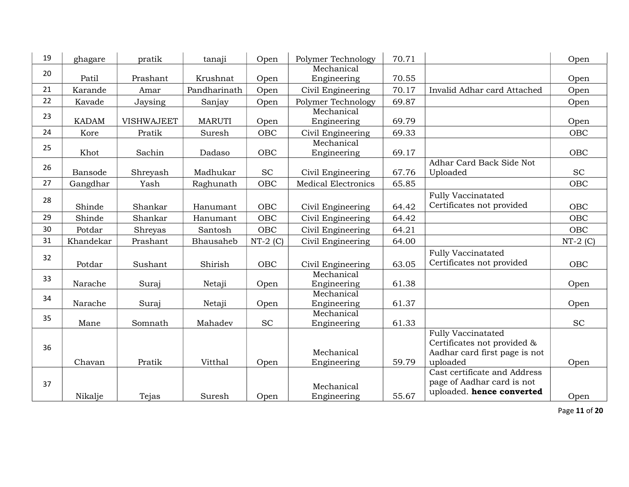| 19 | ghagare      | pratik            | tanaji        | Open       | Polymer Technology         | 70.71 |                                          | Open       |
|----|--------------|-------------------|---------------|------------|----------------------------|-------|------------------------------------------|------------|
| 20 | Patil        | Prashant          | Krushnat      | Open       | Mechanical<br>Engineering  | 70.55 |                                          | Open       |
| 21 | Karande      | Amar              | Pandharinath  | Open       | Civil Engineering          | 70.17 | Invalid Adhar card Attached              | Open       |
| 22 | Kavade       | Jaysing           | Sanjay        | Open       | Polymer Technology         | 69.87 |                                          | Open       |
|    |              |                   |               |            | Mechanical                 |       |                                          |            |
| 23 | <b>KADAM</b> | <b>VISHWAJEET</b> | <b>MARUTI</b> | Open       | Engineering                | 69.79 |                                          | Open       |
| 24 | Kore         | Pratik            | Suresh        | OBC        | Civil Engineering          | 69.33 |                                          | OBC        |
| 25 | Khot         | Sachin            | Dadaso        | OBC        | Mechanical<br>Engineering  | 69.17 |                                          | OBC        |
| 26 |              |                   |               |            |                            |       | Adhar Card Back Side Not                 |            |
|    | Bansode      | Shreyash          | Madhukar      | <b>SC</b>  | Civil Engineering          | 67.76 | Uploaded                                 | SC         |
| 27 | Gangdhar     | Yash              | Raghunath     | OBC        | <b>Medical Electronics</b> | 65.85 |                                          | OBC        |
| 28 |              |                   |               |            |                            |       | <b>Fully Vaccinatated</b>                |            |
|    | Shinde       | Shankar           | Hanumant      | OBC        | Civil Engineering          | 64.42 | Certificates not provided                | <b>OBC</b> |
| 29 | Shinde       | Shankar           | Hanumant      | OBC        | Civil Engineering          | 64.42 |                                          | OBC        |
| 30 | Potdar       | Shreyas           | Santosh       | OBC        | Civil Engineering          | 64.21 |                                          | OBC        |
| 31 | Khandekar    | Prashant          | Bhausaheb     | $NT-2$ (C) | Civil Engineering          | 64.00 |                                          | $NT-2$ (C) |
| 32 |              |                   |               |            |                            |       | <b>Fully Vaccinatated</b>                |            |
|    | Potdar       | Sushant           | Shirish       | OBC        | Civil Engineering          | 63.05 | Certificates not provided                | OBC        |
| 33 |              |                   |               |            | Mechanical                 |       |                                          |            |
|    | Narache      | Suraj             | Netaji        | Open       | Engineering                | 61.38 |                                          | Open       |
| 34 | Narache      |                   |               |            | Mechanical                 | 61.37 |                                          |            |
|    |              | Suraj             | Netaji        | Open       | Engineering<br>Mechanical  |       |                                          | Open       |
| 35 | Mane         | Somnath           | Mahadev       | <b>SC</b>  | Engineering                | 61.33 |                                          | <b>SC</b>  |
|    |              |                   |               |            |                            |       | <b>Fully Vaccinatated</b>                |            |
| 36 |              |                   |               |            |                            |       | Certificates not provided &              |            |
|    |              |                   |               |            | Mechanical                 |       | Aadhar card first page is not            |            |
|    | Chavan       | Pratik            | Vitthal       | Open       | Engineering                | 59.79 | uploaded<br>Cast certificate and Address | Open       |
|    |              |                   |               |            |                            |       | page of Aadhar card is not               |            |
| 37 |              |                   |               |            | Mechanical                 |       | uploaded. hence converted                |            |
|    | Nikalje      | Tejas             | Suresh        | Open       | Engineering                | 55.67 |                                          | Open       |

Page 11 of 20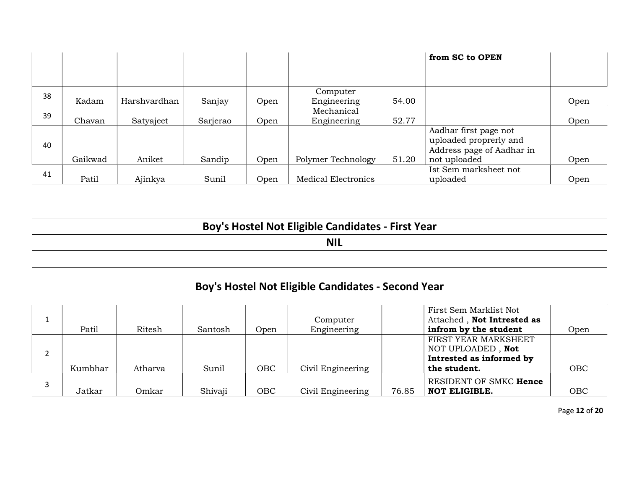|    |         |              |          |      |                           |       | from SC to OPEN                                                                              |      |
|----|---------|--------------|----------|------|---------------------------|-------|----------------------------------------------------------------------------------------------|------|
|    |         |              |          |      |                           |       |                                                                                              |      |
| 38 | Kadam   | Harshvardhan | Sanjay   | Open | Computer<br>Engineering   | 54.00 |                                                                                              | Open |
| 39 | Chavan  | Satyajeet    | Sarjerao | Open | Mechanical<br>Engineering | 52.77 |                                                                                              | Open |
| 40 | Gaikwad | Aniket       | Sandip   | Open | Polymer Technology        | 51.20 | Aadhar first page not<br>uploaded proprerly and<br>Address page of Aadhar in<br>not uploaded | Open |
| 41 | Patil   | Ajinkya      | Sunil    | Open | Medical Electronics       |       | Ist Sem marksheet not<br>uploaded                                                            | Open |

| Boy's Hostel Not Eligible Candidates - First Year |  |
|---------------------------------------------------|--|
| <b>NIL</b>                                        |  |

|         |         |         |            | Boy's Hostel Not Eligible Candidates - Second Year |       |                                                                                       |            |
|---------|---------|---------|------------|----------------------------------------------------|-------|---------------------------------------------------------------------------------------|------------|
| Patil   | Ritesh  | Santosh | Open       | Computer<br>Engineering                            |       | First Sem Marklist Not<br>Attached, Not Intrested as<br>infrom by the student         | Open       |
| Kumbhar | Atharva | Sunil   | <b>OBC</b> | Civil Engineering                                  |       | FIRST YEAR MARKSHEET<br>NOT UPLOADED, Not<br>Intrested as informed by<br>the student. | <b>OBC</b> |
| Jatkar  | Omkar   | Shivaji | OBC        | Civil Engineering                                  | 76.85 | RESIDENT OF SMKC Hence<br>NOT ELIGIBLE.                                               | <b>OBC</b> |

Page 12 of 20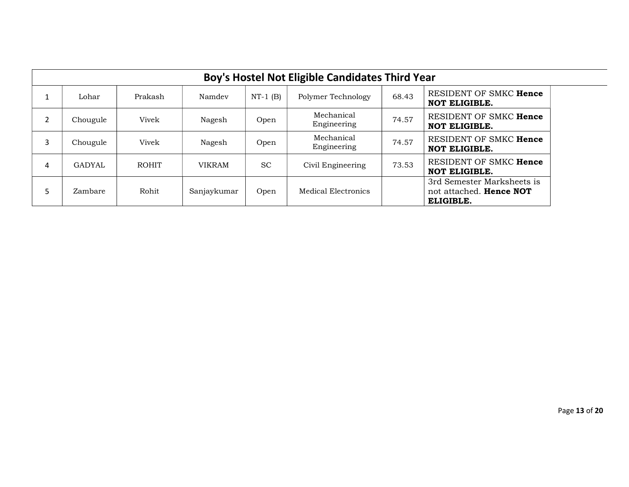|   | Boy's Hostel Not Eligible Candidates Third Year |              |               |            |                           |       |                                                                    |  |  |  |  |  |  |
|---|-------------------------------------------------|--------------|---------------|------------|---------------------------|-------|--------------------------------------------------------------------|--|--|--|--|--|--|
| 1 | Lohar                                           | Prakash      | Namdev        | $NT-1$ (B) | Polymer Technology        | 68.43 | RESIDENT OF SMKC Hence<br><b>NOT ELIGIBLE.</b>                     |  |  |  |  |  |  |
| 2 | Chougule                                        | Vivek        | Nagesh        | Open       | Mechanical<br>Engineering | 74.57 | RESIDENT OF SMKC Hence<br><b>NOT ELIGIBLE.</b>                     |  |  |  |  |  |  |
| 3 | Chougule                                        | Vivek        | Nagesh        | Open       | Mechanical<br>Engineering | 74.57 | RESIDENT OF SMKC Hence<br><b>NOT ELIGIBLE.</b>                     |  |  |  |  |  |  |
| 4 | <b>GADYAL</b>                                   | <b>ROHIT</b> | <b>VIKRAM</b> | <b>SC</b>  | Civil Engineering         | 73.53 | RESIDENT OF SMKC Hence<br><b>NOT ELIGIBLE.</b>                     |  |  |  |  |  |  |
| 5 | Zambare                                         | Rohit        | Sanjaykumar   | Open       | Medical Electronics       |       | 3rd Semester Marksheets is<br>not attached. Hence NOT<br>ELIGIBLE. |  |  |  |  |  |  |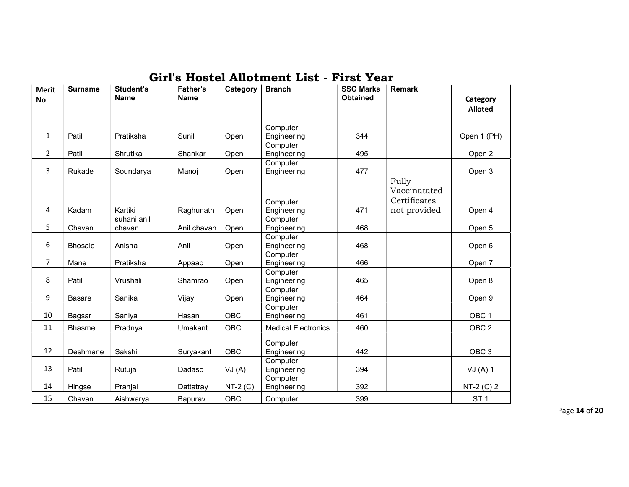|                           |                |                                 |                                |            | Girl's Hostel Allotment List - First Year |                                     |                                                       |                            |
|---------------------------|----------------|---------------------------------|--------------------------------|------------|-------------------------------------------|-------------------------------------|-------------------------------------------------------|----------------------------|
| <b>Merit</b><br><b>No</b> | <b>Surname</b> | <b>Student's</b><br><b>Name</b> | <b>Father's</b><br><b>Name</b> | Category   | <b>Branch</b>                             | <b>SSC Marks</b><br><b>Obtained</b> | <b>Remark</b>                                         | Category<br><b>Alloted</b> |
| $\mathbf{1}$              | Patil          | Pratiksha                       | Sunil                          | Open       | Computer<br>Engineering                   | 344                                 |                                                       | Open 1 (PH)                |
| $\overline{2}$            | Patil          | Shrutika                        | Shankar                        | Open       | Computer<br>Engineering                   | 495                                 |                                                       | Open 2                     |
| 3                         | Rukade         | Soundarya                       | Manoj                          | Open       | Computer<br>Engineering                   | 477                                 |                                                       | Open 3                     |
| 4                         | Kadam          | Kartiki                         | Raghunath                      | Open       | Computer<br>Engineering                   | 471                                 | Fully<br>Vaccinatated<br>Certificates<br>not provided | Open 4                     |
| 5                         | Chavan         | suhani anil<br>chavan           | Anil chavan                    | Open       | Computer<br>Engineering                   | 468                                 |                                                       | Open 5                     |
| 6                         | <b>Bhosale</b> | Anisha                          | Anil                           | Open       | Computer<br>Engineering                   | 468                                 |                                                       | Open 6                     |
| $\overline{7}$            | Mane           | Pratiksha                       | Appaao                         | Open       | Computer<br>Engineering                   | 466                                 |                                                       | Open 7                     |
| 8                         | Patil          | Vrushali                        | Shamrao                        | Open       | Computer<br>Engineering                   | 465                                 |                                                       | Open 8                     |
| 9                         | <b>Basare</b>  | Sanika                          | Vijay                          | Open       | Computer<br>Engineering                   | 464                                 |                                                       | Open 9                     |
| 10                        | Bagsar         | Saniya                          | Hasan                          | <b>OBC</b> | Computer<br>Engineering                   | 461                                 |                                                       | OBC <sub>1</sub>           |
| 11                        | <b>Bhasme</b>  | Pradnya                         | Umakant                        | <b>OBC</b> | <b>Medical Electronics</b>                | 460                                 |                                                       | OBC <sub>2</sub>           |
| 12                        | Deshmane       | Sakshi                          | Suryakant                      | <b>OBC</b> | Computer<br>Engineering<br>Computer       | 442                                 |                                                       | OBC <sub>3</sub>           |
| 13                        | Patil          | Rutuja                          | Dadaso                         | VJ(A)      | Engineering                               | 394                                 |                                                       | VJ(A)1                     |
| 14                        | Hingse         | Pranjal                         | Dattatray                      | $NT-2(C)$  | Computer<br>Engineering                   | 392                                 |                                                       | $NT-2 (C) 2$               |
| 15                        | Chavan         | Aishwarya                       | Bapurav                        | <b>OBC</b> | Computer                                  | 399                                 |                                                       | ST <sub>1</sub>            |

Page 14 of 20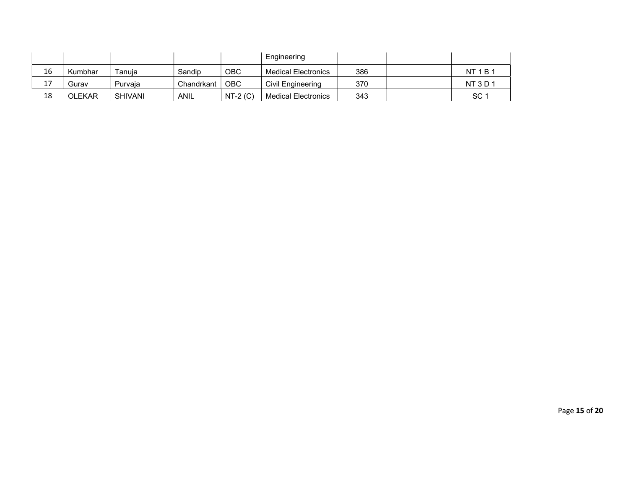|           |               |                |             |           | Engineering                |     |          |
|-----------|---------------|----------------|-------------|-----------|----------------------------|-----|----------|
| 16        | Kumbhar       | Tanuia         | Sandip      | OBC       | <b>Medical Electronics</b> | 386 | NT1B     |
| 17<br>∸ ' | Gurav         | Purvaia        | Chandrkant  | OBC.      | Civil Engineering          | 370 | NT 3 D 1 |
| 18        | <b>OLEKAR</b> | <b>SHIVANI</b> | <b>ANIL</b> | $NT-2(C)$ | Medical Electronics        | 343 | SC 1     |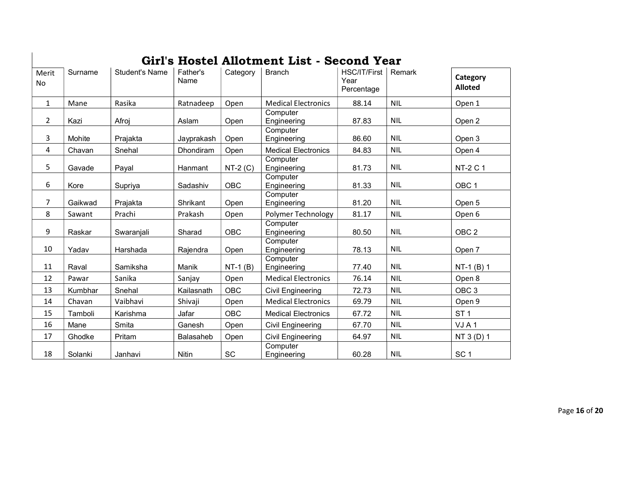| Merit<br><b>No</b> | Surname | <b>Student's Name</b> | Father's<br>Name | Category   | uills hostel allotinent list - Second Tear<br><b>Branch</b> | HSC/IT/First<br>Year<br>Percentage | Remark     | Category<br><b>Alloted</b> |
|--------------------|---------|-----------------------|------------------|------------|-------------------------------------------------------------|------------------------------------|------------|----------------------------|
| $\mathbf{1}$       | Mane    | Rasika                | Ratnadeep        | Open       | <b>Medical Electronics</b>                                  | 88.14                              | <b>NIL</b> | Open 1                     |
| 2                  | Kazi    | Afroj                 | Aslam            | Open       | Computer<br>Engineering                                     | 87.83                              | <b>NIL</b> | Open 2                     |
| 3                  | Mohite  | Prajakta              | Jayprakash       | Open       | Computer<br>Engineering                                     | 86.60                              | <b>NIL</b> | Open 3                     |
| 4                  | Chavan  | Snehal                | Dhondiram        | Open       | <b>Medical Electronics</b>                                  | 84.83                              | <b>NIL</b> | Open 4                     |
| 5                  | Gavade  | Payal                 | Hanmant          | $NT-2(C)$  | Computer<br>Engineering                                     | 81.73                              | <b>NIL</b> | <b>NT-2 C 1</b>            |
| 6                  | Kore    | Supriya               | Sadashiv         | <b>OBC</b> | Computer<br>Engineering                                     | 81.33                              | <b>NIL</b> | OBC <sub>1</sub>           |
| $\overline{7}$     | Gaikwad | Prajakta              | Shrikant         | Open       | Computer<br>Engineering                                     | 81.20                              | <b>NIL</b> | Open 5                     |
| 8                  | Sawant  | Prachi                | Prakash          | Open       | Polymer Technology                                          | 81.17                              | <b>NIL</b> | Open 6                     |
| 9                  | Raskar  | Swaranjali            | Sharad           | <b>OBC</b> | Computer<br>Engineering                                     | 80.50                              | <b>NIL</b> | OBC <sub>2</sub>           |
| 10                 | Yadav   | Harshada              | Rajendra         | Open       | Computer<br>Engineering                                     | 78.13                              | <b>NIL</b> | Open 7                     |
| 11                 | Raval   | Samiksha              | Manik            | $NT-1$ (B) | Computer<br>Engineering                                     | 77.40                              | <b>NIL</b> | $NT-1$ (B) 1               |
| 12                 | Pawar   | Sanika                | Sanjay           | Open       | <b>Medical Electronics</b>                                  | 76.14                              | <b>NIL</b> | Open 8                     |
| 13                 | Kumbhar | Snehal                | Kailasnath       | <b>OBC</b> | Civil Engineering                                           | 72.73                              | <b>NIL</b> | OBC <sub>3</sub>           |
| 14                 | Chavan  | Vaibhavi              | Shivaji          | Open       | <b>Medical Electronics</b>                                  | 69.79                              | <b>NIL</b> | Open 9                     |
| 15                 | Tamboli | Karishma              | Jafar            | <b>OBC</b> | <b>Medical Electronics</b>                                  | 67.72                              | <b>NIL</b> | ST <sub>1</sub>            |
| 16                 | Mane    | Smita                 | Ganesh           | Open       | Civil Engineering                                           | 67.70                              | <b>NIL</b> | VJA1                       |
| 17                 | Ghodke  | Pritam                | <b>Balasaheb</b> | Open       | Civil Engineering                                           | 64.97                              | <b>NIL</b> | NT 3 (D) 1                 |
| 18                 | Solanki | Janhavi               | Nitin            | <b>SC</b>  | Computer<br>Engineering                                     | 60.28                              | <b>NIL</b> | SC <sub>1</sub>            |

## Girl's Hostel Allotment List - Second Year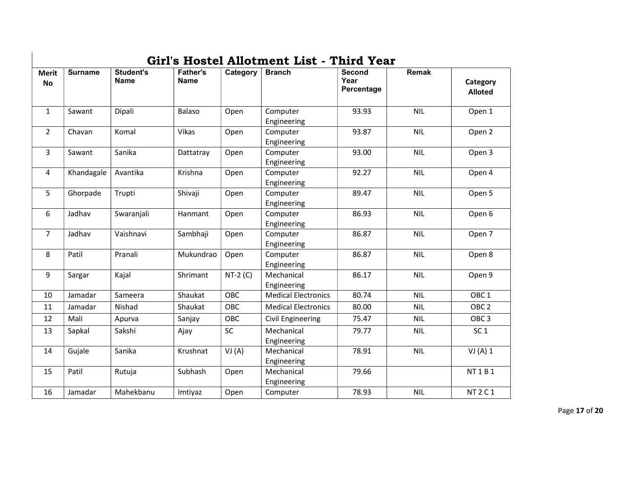| <b>Merit</b><br><b>No</b> | <b>Surname</b> | <b>Student's</b><br><b>Name</b> | <b>Father's</b><br><b>Name</b> | Category  | <b>Branch</b>              | Second<br>Year<br>Percentage | Remak      | Category<br><b>Alloted</b> |
|---------------------------|----------------|---------------------------------|--------------------------------|-----------|----------------------------|------------------------------|------------|----------------------------|
| $\mathbf{1}$              | Sawant         | Dipali                          | Balaso                         | Open      | Computer<br>Engineering    | 93.93                        | <b>NIL</b> | Open 1                     |
| $\overline{2}$            | Chavan         | Komal                           | <b>Vikas</b>                   | Open      | Computer<br>Engineering    | 93.87                        | <b>NIL</b> | Open 2                     |
| 3                         | Sawant         | Sanika                          | Dattatray                      | Open      | Computer<br>Engineering    | 93.00                        | <b>NIL</b> | Open 3                     |
| $\overline{4}$            | Khandagale     | Avantika                        | Krishna                        | Open      | Computer<br>Engineering    | 92.27                        | <b>NIL</b> | Open 4                     |
| 5                         | Ghorpade       | Trupti                          | Shivaji                        | Open      | Computer<br>Engineering    | 89.47                        | <b>NIL</b> | Open 5                     |
| 6                         | Jadhav         | Swaranjali                      | Hanmant                        | Open      | Computer<br>Engineering    | 86.93                        | <b>NIL</b> | Open 6                     |
| $\overline{7}$            | Jadhav         | Vaishnavi                       | Sambhaji                       | Open      | Computer<br>Engineering    | 86.87                        | <b>NIL</b> | Open 7                     |
| 8                         | Patil          | Pranali                         | Mukundrao                      | Open      | Computer<br>Engineering    | 86.87                        | <b>NIL</b> | Open 8                     |
| 9                         | Sargar         | Kajal                           | Shrimant                       | $NT-2(C)$ | Mechanical<br>Engineering  | 86.17                        | <b>NIL</b> | Open 9                     |
| 10                        | Jamadar        | Sameera                         | Shaukat                        | OBC       | <b>Medical Electronics</b> | 80.74                        | <b>NIL</b> | OBC <sub>1</sub>           |
| 11                        | Jamadar        | Nishad                          | Shaukat                        | OBC       | <b>Medical Electronics</b> | 80.00                        | <b>NIL</b> | OBC <sub>2</sub>           |
| 12                        | Mali           | Apurva                          | Sanjay                         | OBC       | Civil Engineering          | 75.47                        | <b>NIL</b> | OBC <sub>3</sub>           |
| 13                        | Sapkal         | Sakshi                          | Ajay                           | <b>SC</b> | Mechanical<br>Engineering  | 79.77                        | <b>NIL</b> | SC <sub>1</sub>            |
| 14                        | Gujale         | Sanika                          | Krushnat                       | VI(A)     | Mechanical<br>Engineering  | 78.91                        | <b>NIL</b> | VI(A) 1                    |
| 15                        | Patil          | Rutuja                          | Subhash                        | Open      | Mechanical<br>Engineering  | 79.66                        |            | <b>NT1B1</b>               |
| 16                        | Jamadar        | Mahekbanu                       | Imtiyaz                        | Open      | Computer                   | 78.93                        | <b>NIL</b> | <b>NT 2 C 1</b>            |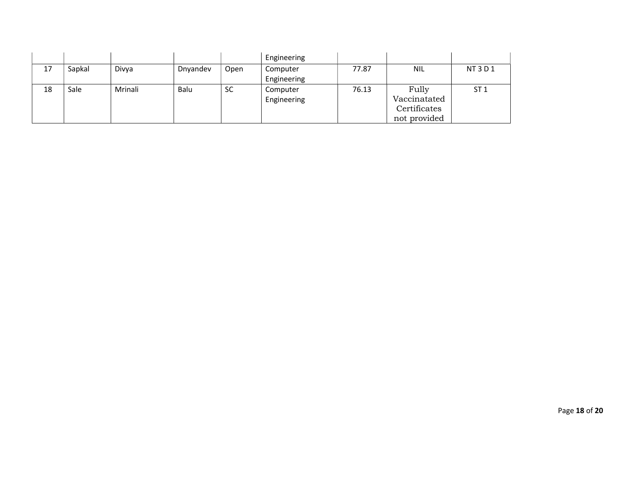|    |        |         |          |           | Engineering             |       |                                                       |                 |
|----|--------|---------|----------|-----------|-------------------------|-------|-------------------------------------------------------|-----------------|
| 17 | Sapkal | Divya   | Dnyandev | Open      | Computer<br>Engineering | 77.87 | <b>NIL</b>                                            | NT3D1           |
| 18 | Sale   | Mrinali | Balu     | <b>SC</b> | Computer<br>Engineering | 76.13 | Fully<br>Vaccinatated<br>Certificates<br>not provided | ST <sub>1</sub> |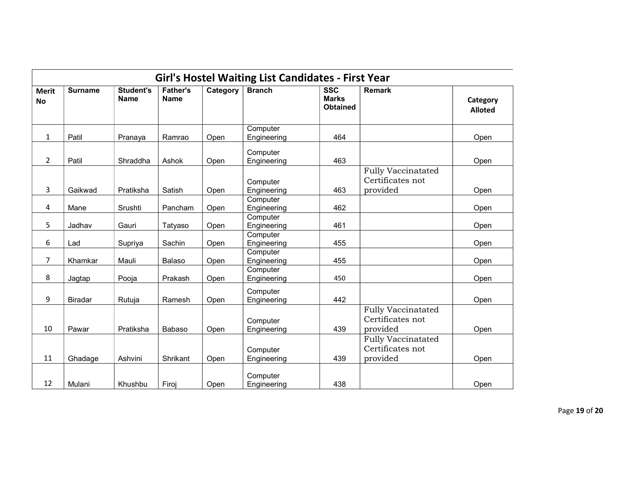|                           |                |                                 |                                |          | <b>Girl's Hostel Waiting List Candidates - First Year</b> |                                               |                                                           |                            |
|---------------------------|----------------|---------------------------------|--------------------------------|----------|-----------------------------------------------------------|-----------------------------------------------|-----------------------------------------------------------|----------------------------|
| <b>Merit</b><br><b>No</b> | <b>Surname</b> | <b>Student's</b><br><b>Name</b> | <b>Father's</b><br><b>Name</b> | Category | <b>Branch</b>                                             | <b>SSC</b><br><b>Marks</b><br><b>Obtained</b> | <b>Remark</b>                                             | Category<br><b>Alloted</b> |
| $\mathbf{1}$              | Patil          | Pranaya                         | Ramrao                         | Open     | Computer<br>Engineering                                   | 464                                           |                                                           | Open                       |
| $\overline{2}$            | Patil          | Shraddha                        | Ashok                          | Open     | Computer<br>Engineering                                   | 463                                           |                                                           | Open                       |
| 3                         | Gaikwad        | Pratiksha                       | Satish                         | Open     | Computer<br>Engineering                                   | 463                                           | <b>Fully Vaccinatated</b><br>Certificates not<br>provided | Open                       |
| 4                         | Mane           | Srushti                         | Pancham                        | Open     | Computer<br>Engineering                                   | 462                                           |                                                           | Open                       |
| 5                         | Jadhav         | Gauri                           | Tatyaso                        | Open     | Computer<br>Engineering                                   | 461                                           |                                                           | Open                       |
| 6                         | Lad            | Supriya                         | Sachin                         | Open     | Computer<br>Engineering                                   | 455                                           |                                                           | Open                       |
| $\overline{7}$            | Khamkar        | Mauli                           | Balaso                         | Open     | Computer<br>Engineering                                   | 455                                           |                                                           | Open                       |
| 8                         | Jagtap         | Pooja                           | Prakash                        | Open     | Computer<br>Engineering                                   | 450                                           |                                                           | Open                       |
| 9                         | Biradar        | Rutuja                          | Ramesh                         | Open     | Computer<br>Engineering                                   | 442                                           |                                                           | Open                       |
| 10                        | Pawar          | Pratiksha                       | Babaso                         | Open     | Computer<br>Engineering                                   | 439                                           | <b>Fully Vaccinatated</b><br>Certificates not<br>provided | Open                       |
| 11                        | Ghadage        | Ashvini                         | Shrikant                       | Open     | Computer<br>Engineering                                   | 439                                           | <b>Fully Vaccinatated</b><br>Certificates not<br>provided | Open                       |
| 12                        | Mulani         | Khushbu                         | Firoj                          | Open     | Computer<br>Engineering                                   | 438                                           |                                                           | Open                       |